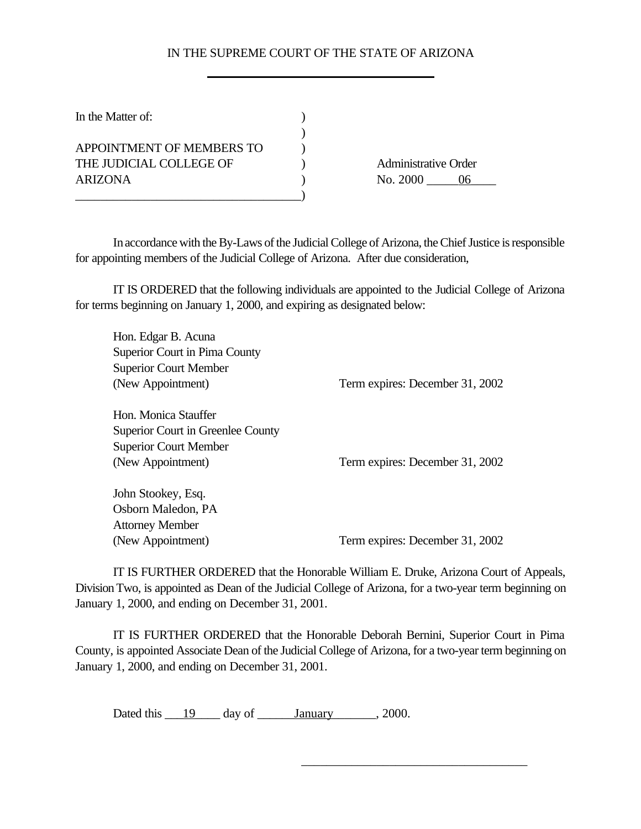## IN THE SUPREME COURT OF THE STATE OF ARIZONA

| In the Matter of:         |                             |
|---------------------------|-----------------------------|
|                           |                             |
| APPOINTMENT OF MEMBERS TO |                             |
| THE JUDICIAL COLLEGE OF   | <b>Administrative Order</b> |
| ARIZONA                   | No. 2000<br>ი6              |
|                           |                             |

In accordance with the By-Laws of the Judicial College of Arizona, the Chief Justice is responsible for appointing members of the Judicial College of Arizona. After due consideration,

IT IS ORDERED that the following individuals are appointed to the Judicial College of Arizona for terms beginning on January 1, 2000, and expiring as designated below:

| Hon. Edgar B. Acuna               |                                 |
|-----------------------------------|---------------------------------|
| Superior Court in Pima County     |                                 |
| <b>Superior Court Member</b>      |                                 |
| (New Appointment)                 | Term expires: December 31, 2002 |
|                                   |                                 |
| Hon. Monica Stauffer              |                                 |
| Superior Court in Greenlee County |                                 |
| <b>Superior Court Member</b>      |                                 |
| (New Appointment)                 | Term expires: December 31, 2002 |
|                                   |                                 |
| John Stookey, Esq.                |                                 |
| Osborn Maledon, PA                |                                 |
| <b>Attorney Member</b>            |                                 |
| (New Appointment)                 | Term expires: December 31, 2002 |
|                                   |                                 |

IT IS FURTHER ORDERED that the Honorable William E. Druke, Arizona Court of Appeals, Division Two, is appointed as Dean of the Judicial College of Arizona, for a two-year term beginning on January 1, 2000, and ending on December 31, 2001.

IT IS FURTHER ORDERED that the Honorable Deborah Bernini, Superior Court in Pima County, is appointed Associate Dean of the Judicial College of Arizona, for a two-year term beginning on January 1, 2000, and ending on December 31, 2001.

\_\_\_\_\_\_\_\_\_\_\_\_\_\_\_\_\_\_\_\_\_\_\_\_\_\_\_\_\_\_\_\_\_\_\_\_

Dated this  $\qquad 19$  day of  $\qquad$  January  $\qquad$ , 2000.